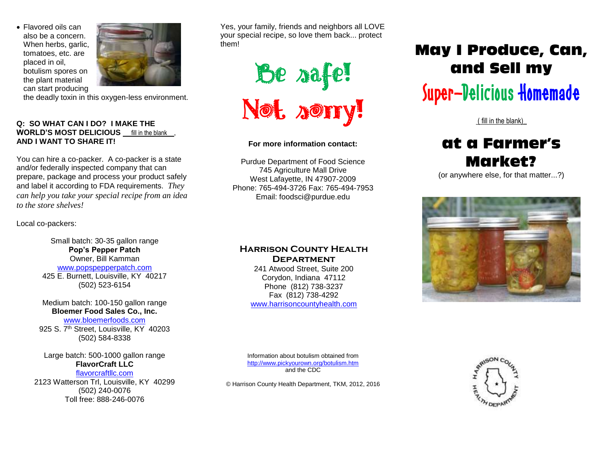Flavored oils can also be a concern. When herbs, garlic, tomatoes, etc. are placed in oil, botulism spores on the plant material can start producing



the deadly toxin in this oxygen-less environment.

## **Q: SO WHAT CAN I DO? I MAKE THE WORLD'S MOST DELICIOUS** fill in the blank , **AND I WANT TO SHARE IT!**

You can hire a co-packer. A co-packer is a state and/or federally inspected company that can prepare, package and process your product safely and label it according to FDA requirements. *They can help you take your special recipe from an idea to the store shelves!*

Local co-packers:

Small batch: 30-35 gallon range **Pop's Pepper Patch** Owner, Bill Kamman www.popspepperpatch.com 425 E. Burnett, Louisville, KY 40217 (502) 523-6154

Medium batch: 100-150 gallon range **Bloemer Food Sales Co., Inc.** www.bloemerfoods.com 925 S. 7<sup>th</sup> Street, Louisville, KY 40203 (502) 584-8338

Large batch: 500-1000 gallon range **FlavorCraft LLC** flavorcraftllc.com

2123 Watterson Trl, Louisville, KY 40299 (502) 240-0076 Toll free: 888-246-0076

Yes, your family, friends and neighbors all LOVE your special recipe, so love them back... protect them!



**For more information contact:**

Purdue Department of Food Science 745 Agriculture Mall Drive West Lafayette, IN 47907-2009 Phone: 765-494-3726 Fax: 765-494-7953 Email: foodsci@purdue.edu

# **Harrison County Health Department**

241 Atwood Street, Suite 200 Corydon, Indiana 47112 Phone (812) 738-3237 Fax (812) 738-4292 [www.harrisoncountyhealth.com](http://www.harrisoncountyhealth.com/)

# May I Produce, Can, and Sell my

# Super-Delicious Homemade

( fill in the blank)\_

# at a Farmer's Market?

(or anywhere else, for that matter...?)



Information about botulism obtained from <http://www.pickyourown.org/botulism.htm> and the CDC

© Harrison County Health Department, TKM, 2012, 2016